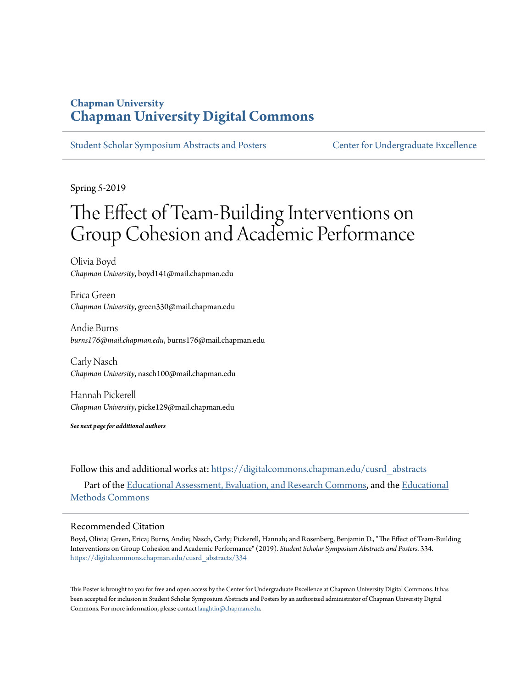### **Chapman University [Chapman University Digital Commons](https://digitalcommons.chapman.edu?utm_source=digitalcommons.chapman.edu%2Fcusrd_abstracts%2F334&utm_medium=PDF&utm_campaign=PDFCoverPages)**

[Student Scholar Symposium Abstracts and Posters](https://digitalcommons.chapman.edu/cusrd_abstracts?utm_source=digitalcommons.chapman.edu%2Fcusrd_abstracts%2F334&utm_medium=PDF&utm_campaign=PDFCoverPages) [Center for Undergraduate Excellence](https://digitalcommons.chapman.edu/cue?utm_source=digitalcommons.chapman.edu%2Fcusrd_abstracts%2F334&utm_medium=PDF&utm_campaign=PDFCoverPages)

Spring 5-2019

### The Effect of Team-Building Interventions on Group Cohesion and Academic Performance

Olivia Boyd *Chapman University*, boyd141@mail.chapman.edu

Erica Green *Chapman University*, green330@mail.chapman.edu

Andie Burns *burns176@mail.chapman.edu*, burns176@mail.chapman.edu

Carly Nasch *Chapman University*, nasch100@mail.chapman.edu

Hannah Pickerell *Chapman University*, picke129@mail.chapman.edu

*See next page for additional authors*

Follow this and additional works at: [https://digitalcommons.chapman.edu/cusrd\\_abstracts](https://digitalcommons.chapman.edu/cusrd_abstracts?utm_source=digitalcommons.chapman.edu%2Fcusrd_abstracts%2F334&utm_medium=PDF&utm_campaign=PDFCoverPages) Part of the [Educational Assessment, Evaluation, and Research Commons,](http://network.bepress.com/hgg/discipline/796?utm_source=digitalcommons.chapman.edu%2Fcusrd_abstracts%2F334&utm_medium=PDF&utm_campaign=PDFCoverPages) and the [Educational](http://network.bepress.com/hgg/discipline/1227?utm_source=digitalcommons.chapman.edu%2Fcusrd_abstracts%2F334&utm_medium=PDF&utm_campaign=PDFCoverPages) [Methods Commons](http://network.bepress.com/hgg/discipline/1227?utm_source=digitalcommons.chapman.edu%2Fcusrd_abstracts%2F334&utm_medium=PDF&utm_campaign=PDFCoverPages)

### Recommended Citation

Boyd, Olivia; Green, Erica; Burns, Andie; Nasch, Carly; Pickerell, Hannah; and Rosenberg, Benjamin D., "The Effect of Team-Building Interventions on Group Cohesion and Academic Performance" (2019). *Student Scholar Symposium Abstracts and Posters*. 334. [https://digitalcommons.chapman.edu/cusrd\\_abstracts/334](https://digitalcommons.chapman.edu/cusrd_abstracts/334?utm_source=digitalcommons.chapman.edu%2Fcusrd_abstracts%2F334&utm_medium=PDF&utm_campaign=PDFCoverPages)

This Poster is brought to you for free and open access by the Center for Undergraduate Excellence at Chapman University Digital Commons. It has been accepted for inclusion in Student Scholar Symposium Abstracts and Posters by an authorized administrator of Chapman University Digital Commons. For more information, please contact [laughtin@chapman.edu](mailto:laughtin@chapman.edu).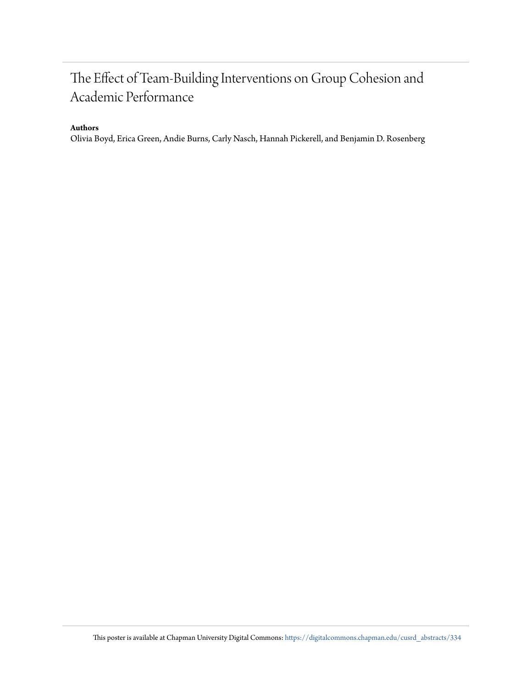### The Effect of Team-Building Interventions on Group Cohesion and Academic Performance

### **Authors**

Olivia Boyd, Erica Green, Andie Burns, Carly Nasch, Hannah Pickerell, and Benjamin D. Rosenberg